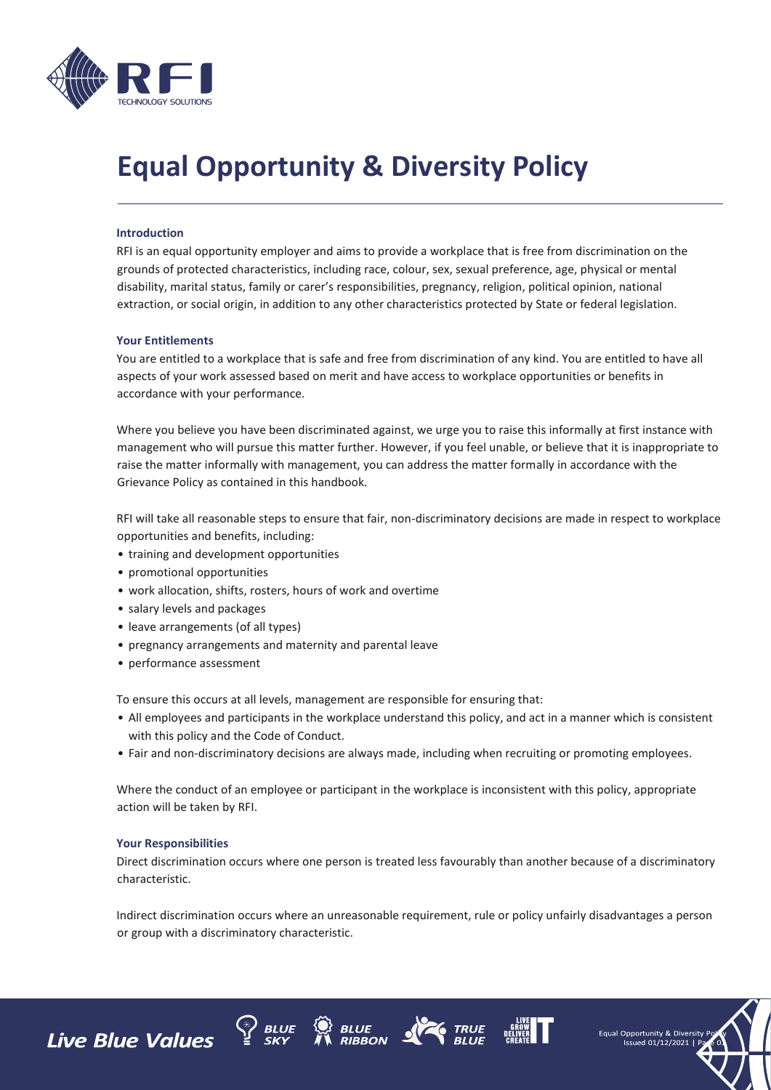

# **Equal Opportunity & Diversity Policy**

### **Introduction**

RFI is an equal opportunity employer and aims to provide a workplace that is free from discrimination on the grounds of protected characteristics, including race, colour, sex, sexual preference, age, physical or mental disability, marital status, family or carer's responsibilities, pregnancy, religion, political opinion, national extraction, or social origin, in addition to any other characteristics protected by State or federal legislation.

#### **Your Entitlements**

You are entitled to a workplace that is safe and free from discrimination of any kind. You are entitled to have all aspects of your work assessed based on merit and have access to workplace opportunities or benefits in accordance with your performance.

Where you believe you have been discriminated against, we urge you to raise this informally at first instance with management who will pursue this matter further. However, if you feel unable, or believe that it is inappropriate to raise the matter informally with management, you can address the matter formally in accordance with the Grievance Policy as contained in this handbook.

RFI will take all reasonable steps to ensure that fair, non-discriminatory decisions are made in respect to workplace opportunities and benefits, including:

- training and development opportunities
- promotional opportunities
- work allocation, shifts, rosters, hours of work and overtime
- salary levels and packages
- leave arrangements (of all types)
- pregnancy arrangements and maternity and parental leave
- performance assessment

To ensure this occurs at all levels, management are responsible for ensuring that:

- All employees and participants in the workplace understand this policy, and act in a manner which is consistent with this policy and the Code of Conduct.
- Fair and non-discriminatory decisions are always made, including when recruiting or promoting employees.

Where the conduct of an employee or participant in the workplace is inconsistent with this policy, appropriate action will be taken by RFI.

#### **Your Responsibilities**

Direct discrimination occurs where one person is treated less favourably than another because of a discriminatory characteristic.

Indirect discrimination occurs where an unreasonable requirement, rule or policy unfairly disadvantages a person or group with a discriminatory characteristic.